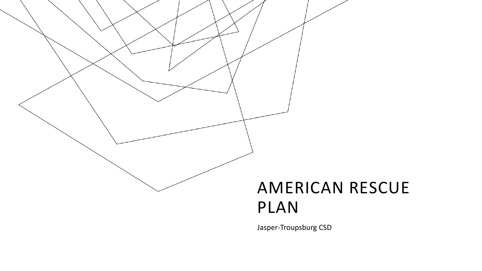

# PLAN

Jasper-Troupsburg CSD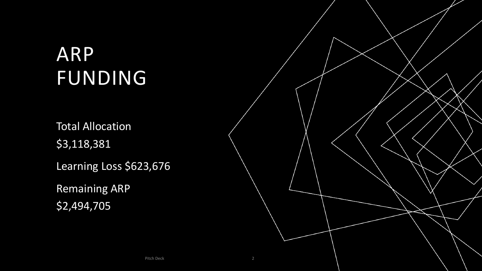## ARP FUNDING

Total Allocation \$3,118,381 Learning Loss \$623,676

Remaining ARP \$2,494,705

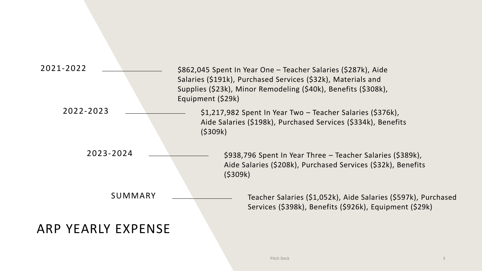| 2021-2022          | \$862,045 Spent In Year One - Teacher Salaries (\$287k), Aide<br>Salaries (\$191k), Purchased Services (\$32k), Materials and<br>Supplies (\$23k), Minor Remodeling (\$40k), Benefits (\$308k),<br>Equipment (\$29k) |
|--------------------|----------------------------------------------------------------------------------------------------------------------------------------------------------------------------------------------------------------------|
| 2022-2023          | \$1,217,982 Spent In Year Two - Teacher Salaries (\$376k),<br>Aide Salaries (\$198k), Purchased Services (\$334k), Benefits<br>(5309k)                                                                               |
| 2023-2024          | \$938,796 Spent In Year Three – Teacher Salaries (\$389k),<br>Aide Salaries (\$208k), Purchased Services (\$32k), Benefits<br>(5309k)                                                                                |
| SUMMARY            | Teacher Salaries (\$1,052k), Aide Salaries (\$597k), Purchased<br>Services (\$398k), Benefits (\$926k), Equipment (\$29k)                                                                                            |
| ARP YEARLY EXPENSE |                                                                                                                                                                                                                      |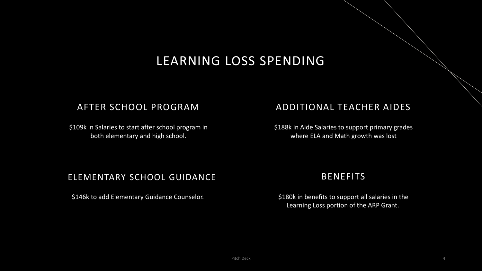## LEARNING LOSS SPENDING

#### AFTER SCHOOL PROGRAM

\$109k in Salaries to start after school program in both elementary and high school.

#### ADDITIONAL TEACHER AIDES

\$188k in Aide Salaries to support primary grades where ELA and Math growth was lost

#### ELEMENTARY SCHOOL GUIDANCE

\$146k to add Elementary Guidance Counselor.

#### BENEFITS

\$180k in benefits to support all salaries in the Learning Loss portion of the ARP Grant.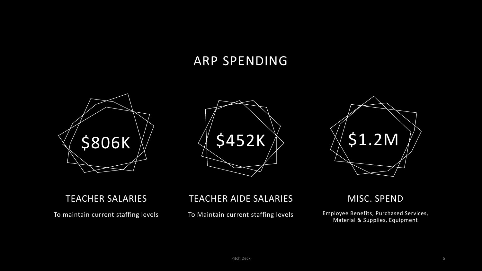### ARP SPENDING







#### TEACHER SALARIES

To maintain current staffing levels

#### TEACHER AIDE SALARIES

To Maintain current staffing levels

MISC. SPEND

Employee Benefits, Purchased Services, Material & Supplies, Equipment